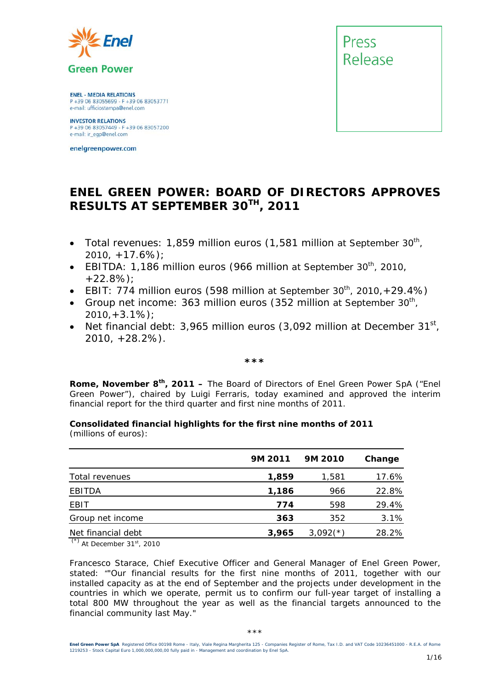

**ENEL - MEDIA RELATIONS** P +39 06 83055699 - F +39 06 83053771 e-mail: ufficiostampa@enel.com

**INVESTOR RELATIONS**<br>P +39 06 83057449 - F +39 06 83057200 e-mail: ir\_egp@enel.com

enelgreenpower.com



#### **ENEL GREEN POWER: BOARD OF DIRECTORS APPROVES RESULTS AT SEPTEMBER 30TH, 2011**

- *Total revenues: 1,859 million euros (1,581 million at September 30<sup>th</sup>, 2010, +17.6%);*
- EBITDA: 1,186 million euros (966 million at September 30<sup>th</sup>, 2010, *+22.8%);*
- *EBIT: 774 million euros (598 million at September 30<sup>th</sup>, 2010, +29.4%)*
- *Group net income: 363 million euros (352 million at September 30<sup>th</sup>, 2010,+3.1%);*
- *Net financial debt: 3,965 million euros (3,092 million at December 31st, 2010, +28.2%).*

*\*\*\** 

**Rome, November 8th, 2011 –** The Board of Directors of Enel Green Power SpA ("Enel Green Power"), chaired by Luigi Ferraris, today examined and approved the interim financial report for the third quarter and first nine months of 2011.

**Consolidated financial highlights for the first nine months of 2011**  (millions of euros):

|                            | 9M 2011 | 9M 2010    | Change |
|----------------------------|---------|------------|--------|
| Total revenues             | 1,859   | 1,581      | 17.6%  |
| EBITDA                     | 1,186   | 966        | 22.8%  |
| EBIT                       | 774     | 598        | 29.4%  |
| Group net income           | 363     | 352        | 3.1%   |
| Net financial debt<br>$ -$ | 3,965   | $3,092(*)$ | 28.2%  |

(\*) *At December 31st, 2010* 

Francesco Starace, Chief Executive Officer and General Manager of Enel Green Power, stated: *""Our financial results for the first nine months of 2011, together with our installed capacity as at the end of September and the projects under development in the countries in which we operate, permit us to confirm our full-year target of installing a total 800 MW throughout the year as well as the financial targets announced to the financial community last May."*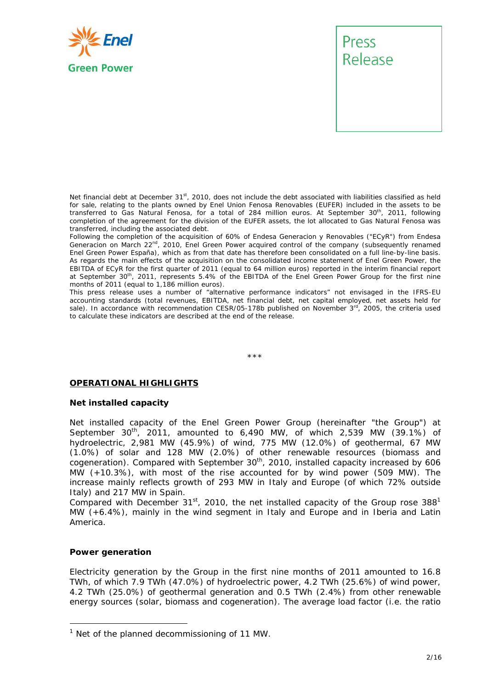

Net financial debt at December 31<sup>st</sup>, 2010, does not include the debt associated with liabilities classified as held for sale, relating to the plants owned by Enel Union Fenosa Renovables (EUFER) included in the assets to be transferred to Gas Natural Fenosa, for a total of 284 million euros. At September 30<sup>th</sup>, 2011, following completion of the agreement for the division of the EUFER assets, the lot allocated to Gas Natural Fenosa was transferred, including the associated debt.

Following the completion of the acquisition of 60% of Endesa Generacion y Renovables ("ECyR") from Endesa Generacion on March 22<sup>nd</sup>, 2010, Enel Green Power acquired control of the company (subsequently renamed Enel Green Power España), which as from that date has therefore been consolidated on a full line-by-line basis. As regards the main effects of the acquisition on the consolidated income statement of Enel Green Power, the EBITDA of ECyR for the first quarter of 2011 (equal to 64 million euros) reported in the interim financial report at September 30<sup>th</sup>, 2011, represents 5.4% of the EBITDA of the Enel Green Power Group for the first nine months of 2011 (equal to 1,186 million euros).

This press release uses a number of "alternative performance indicators" not envisaged in the IFRS-EU accounting standards (total revenues, EBITDA, net financial debt, net capital employed, net assets held for sale). In accordance with recommendation CESR/05-178b published on November 3rd, 2005, the criteria used to calculate these indicators are described at the end of the release.

\*\*\*

#### **OPERATIONAL HIGHLIGHTS**

#### **Net installed capacity**

Net installed capacity of the Enel Green Power Group (hereinafter "the Group") at September  $30^{th}$ , 2011, amounted to 6,490 MW, of which 2,539 MW (39.1%) of hydroelectric, 2,981 MW (45.9%) of wind, 775 MW (12.0%) of geothermal, 67 MW (1.0%) of solar and 128 MW (2.0%) of other renewable resources (biomass and cogeneration). Compared with September 30<sup>th</sup>, 2010, installed capacity increased by 606 MW (+10.3%), with most of the rise accounted for by wind power (509 MW). The increase mainly reflects growth of 293 MW in Italy and Europe (of which 72% outside Italy) and 217 MW in Spain.

Compared with December  $31^{st}$ , 2010, the net installed capacity of the Group rose  $388<sup>1</sup>$ MW (+6.4%), mainly in the wind segment in Italy and Europe and in Iberia and Latin America.

#### **Power generation**

Electricity generation by the Group in the first nine months of 2011 amounted to 16.8 TWh, of which 7.9 TWh (47.0%) of hydroelectric power, 4.2 TWh (25.6%) of wind power, 4.2 TWh (25.0%) of geothermal generation and 0.5 TWh (2.4%) from other renewable energy sources (solar, biomass and cogeneration). The average load factor (i.e. the ratio

<sup>&</sup>lt;sup>1</sup> Net of the planned decommissioning of 11 MW.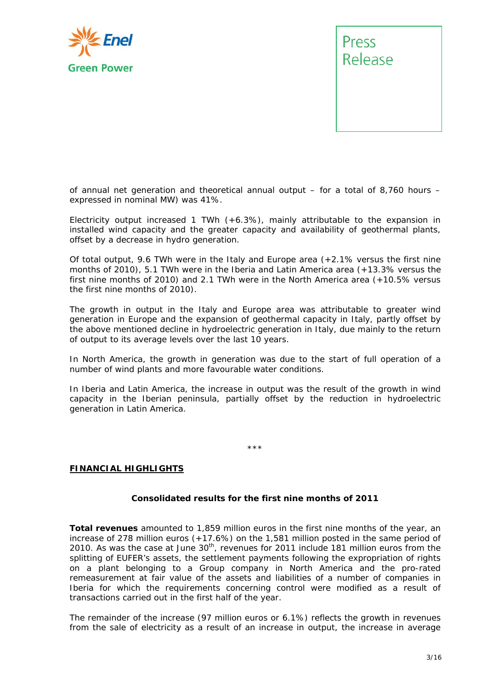

of annual net generation and theoretical annual output – for a total of 8,760 hours – expressed in nominal MW) was 41%.

Electricity output increased 1 TWh  $(+6.3%)$ , mainly attributable to the expansion in installed wind capacity and the greater capacity and availability of geothermal plants, offset by a decrease in hydro generation.

Of total output, 9.6 TWh were in the Italy and Europe area (+2.1% versus the first nine months of 2010), 5.1 TWh were in the Iberia and Latin America area (+13.3% versus the first nine months of 2010) and 2.1 TWh were in the North America area (+10.5% versus the first nine months of 2010).

The growth in output in the Italy and Europe area was attributable to greater wind generation in Europe and the expansion of geothermal capacity in Italy, partly offset by the above mentioned decline in hydroelectric generation in Italy, due mainly to the return of output to its average levels over the last 10 years.

In North America, the growth in generation was due to the start of full operation of a number of wind plants and more favourable water conditions.

In Iberia and Latin America, the increase in output was the result of the growth in wind capacity in the Iberian peninsula, partially offset by the reduction in hydroelectric generation in Latin America.

\*\*\*

#### **FINANCIAL HIGHLIGHTS**

#### **Consolidated results for the first nine months of 2011**

**Total revenues** amounted to 1,859 million euros in the first nine months of the year, an increase of 278 million euros (+17.6%) on the 1,581 million posted in the same period of 2010. As was the case at June  $30<sup>th</sup>$ , revenues for 2011 include 181 million euros from the splitting of EUFER's assets, the settlement payments following the expropriation of rights on a plant belonging to a Group company in North America and the pro-rated remeasurement at fair value of the assets and liabilities of a number of companies in Iberia for which the requirements concerning control were modified as a result of transactions carried out in the first half of the year.

The remainder of the increase (97 million euros or 6.1%) reflects the growth in revenues from the sale of electricity as a result of an increase in output, the increase in average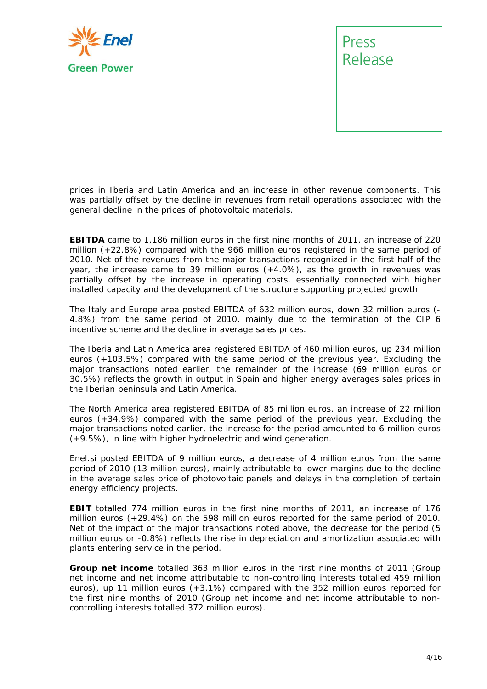

prices in Iberia and Latin America and an increase in other revenue components. This was partially offset by the decline in revenues from retail operations associated with the general decline in the prices of photovoltaic materials.

**EBITDA** came to 1,186 million euros in the first nine months of 2011, an increase of 220 million (+22.8%) compared with the 966 million euros registered in the same period of 2010. Net of the revenues from the major transactions recognized in the first half of the year, the increase came to 39 million euros (+4.0%), as the growth in revenues was partially offset by the increase in operating costs, essentially connected with higher installed capacity and the development of the structure supporting projected growth.

The Italy and Europe area posted EBITDA of 632 million euros, down 32 million euros (- 4.8%) from the same period of 2010, mainly due to the termination of the CIP 6 incentive scheme and the decline in average sales prices.

The Iberia and Latin America area registered EBITDA of 460 million euros, up 234 million euros (+103.5%) compared with the same period of the previous year. Excluding the major transactions noted earlier, the remainder of the increase (69 million euros or 30.5%) reflects the growth in output in Spain and higher energy averages sales prices in the Iberian peninsula and Latin America.

The North America area registered EBITDA of 85 million euros, an increase of 22 million euros (+34.9%) compared with the same period of the previous year. Excluding the major transactions noted earlier, the increase for the period amounted to 6 million euros (+9.5%), in line with higher hydroelectric and wind generation.

Enel.si posted EBITDA of 9 million euros, a decrease of 4 million euros from the same period of 2010 (13 million euros), mainly attributable to lower margins due to the decline in the average sales price of photovoltaic panels and delays in the completion of certain energy efficiency projects.

**EBIT** totalled 774 million euros in the first nine months of 2011, an increase of 176 million euros (+29.4%) on the 598 million euros reported for the same period of 2010. Net of the impact of the major transactions noted above, the decrease for the period (5 million euros or -0.8%) reflects the rise in depreciation and amortization associated with plants entering service in the period.

**Group net income** totalled 363 million euros in the first nine months of 2011 (Group net income and net income attributable to non-controlling interests totalled 459 million euros), up 11 million euros (+3.1%) compared with the 352 million euros reported for the first nine months of 2010 (Group net income and net income attributable to noncontrolling interests totalled 372 million euros).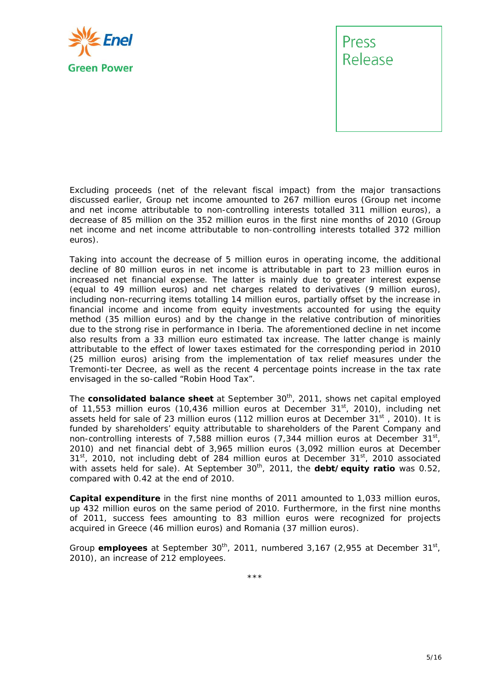

Excluding proceeds (net of the relevant fiscal impact) from the major transactions discussed earlier, Group net income amounted to 267 million euros (Group net income and net income attributable to non-controlling interests totalled 311 million euros), a decrease of 85 million on the 352 million euros in the first nine months of 2010 (Group net income and net income attributable to non-controlling interests totalled 372 million euros).

Taking into account the decrease of 5 million euros in operating income, the additional decline of 80 million euros in net income is attributable in part to 23 million euros in increased net financial expense. The latter is mainly due to greater interest expense (equal to 49 million euros) and net charges related to derivatives (9 million euros), including non-recurring items totalling 14 million euros, partially offset by the increase in financial income and income from equity investments accounted for using the equity method (35 million euros) and by the change in the relative contribution of minorities due to the strong rise in performance in Iberia. The aforementioned decline in net income also results from a 33 million euro estimated tax increase. The latter change is mainly attributable to the effect of lower taxes estimated for the corresponding period in 2010 (25 million euros) arising from the implementation of tax relief measures under the Tremonti-ter Decree, as well as the recent 4 percentage points increase in the tax rate envisaged in the so-called "Robin Hood Tax".

The **consolidated balance sheet** at September 30<sup>th</sup>, 2011, shows net capital employed of 11,553 million euros (10,436 million euros at December 31<sup>st</sup>, 2010), including net assets held for sale of 23 million euros (112 million euros at December  $31^{st}$ , 2010). It is funded by shareholders' equity attributable to shareholders of the Parent Company and non-controlling interests of 7,588 million euros (7,344 million euros at December  $31<sup>st</sup>$ , 2010) and net financial debt of 3,965 million euros (3,092 million euros at December  $31<sup>st</sup>$ , 2010, not including debt of 284 million euros at December  $31<sup>st</sup>$ , 2010 associated with assets held for sale). At September 30<sup>th</sup>, 2011, the debt/equity ratio was 0.52, compared with 0.42 at the end of 2010.

**Capital expenditure** in the first nine months of 2011 amounted to 1,033 million euros, up 432 million euros on the same period of 2010. Furthermore, in the first nine months of 2011, success fees amounting to 83 million euros were recognized for projects acquired in Greece (46 million euros) and Romania (37 million euros).

Group **employees** at September 30<sup>th</sup>, 2011, numbered 3,167 (2,955 at December 31<sup>st</sup>, 2010), an increase of 212 employees.

\*\*\*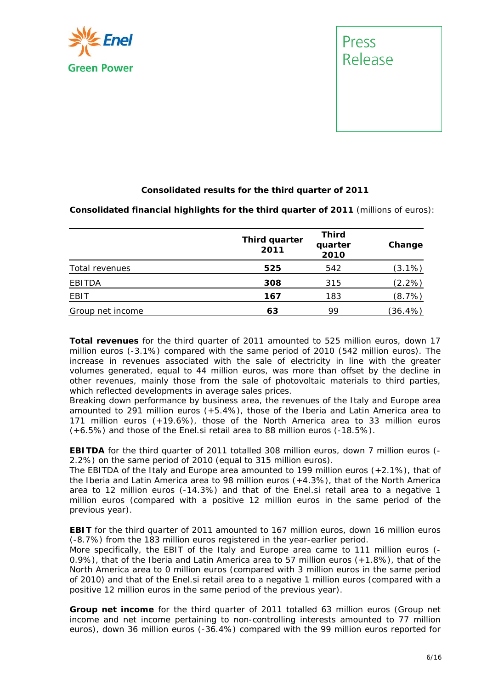



#### **Consolidated results for the third quarter of 2011**

**Consolidated financial highlights for the third quarter of 2011** (millions of euros):

|                  | Third quarter<br>2011 | <b>Third</b><br>quarter<br>2010 | Change    |
|------------------|-----------------------|---------------------------------|-----------|
| Total revenues   | 525                   | 542                             | $(3.1\%)$ |
| <b>EBITDA</b>    | 308                   | 315                             | (2.2%)    |
| EBIT             | 167                   | 183                             | (8.7%)    |
| Group net income | 63                    | 99                              | (36.4%)   |

**Total revenues** for the third quarter of 2011 amounted to 525 million euros, down 17 million euros (-3.1%) compared with the same period of 2010 (542 million euros). The increase in revenues associated with the sale of electricity in line with the greater volumes generated, equal to 44 million euros, was more than offset by the decline in other revenues, mainly those from the sale of photovoltaic materials to third parties, which reflected developments in average sales prices.

Breaking down performance by business area, the revenues of the Italy and Europe area amounted to 291 million euros (+5.4%), those of the Iberia and Latin America area to 171 million euros (+19.6%), those of the North America area to 33 million euros (+6.5%) and those of the Enel.si retail area to 88 million euros (-18.5%).

**EBITDA** for the third quarter of 2011 totalled 308 million euros, down 7 million euros (-2.2%) on the same period of 2010 (equal to 315 million euros).

The EBITDA of the Italy and Europe area amounted to 199 million euros (+2.1%), that of the Iberia and Latin America area to 98 million euros (+4.3%), that of the North America area to 12 million euros (-14.3%) and that of the Enel.si retail area to a negative 1 million euros (compared with a positive 12 million euros in the same period of the previous year).

**EBIT** for the third quarter of 2011 amounted to 167 million euros, down 16 million euros (-8.7%) from the 183 million euros registered in the year-earlier period.

More specifically, the EBIT of the Italy and Europe area came to 111 million euros (- 0.9%), that of the Iberia and Latin America area to 57 million euros (+1.8%), that of the North America area to 0 million euros (compared with 3 million euros in the same period of 2010) and that of the Enel.si retail area to a negative 1 million euros (compared with a positive 12 million euros in the same period of the previous year).

**Group net income** for the third quarter of 2011 totalled 63 million euros (Group net income and net income pertaining to non-controlling interests amounted to 77 million euros), down 36 million euros (-36.4%) compared with the 99 million euros reported for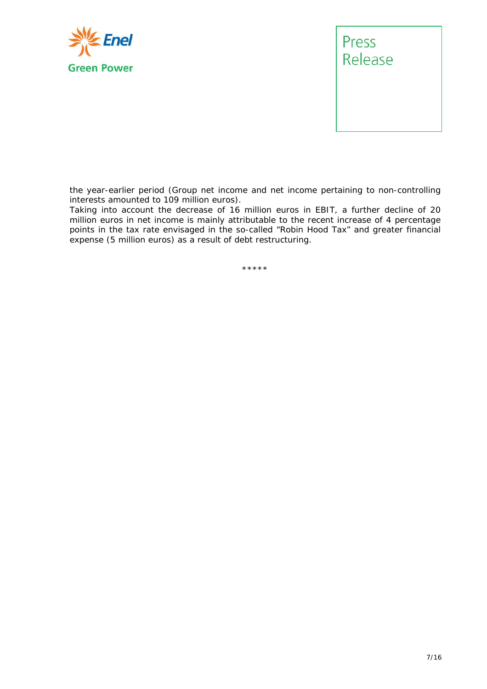



the year-earlier period (Group net income and net income pertaining to non-controlling interests amounted to 109 million euros).

Taking into account the decrease of 16 million euros in EBIT, a further decline of 20 million euros in net income is mainly attributable to the recent increase of 4 percentage points in the tax rate envisaged in the so-called "Robin Hood Tax" and greater financial expense (5 million euros) as a result of debt restructuring.

\*\*\*\*\*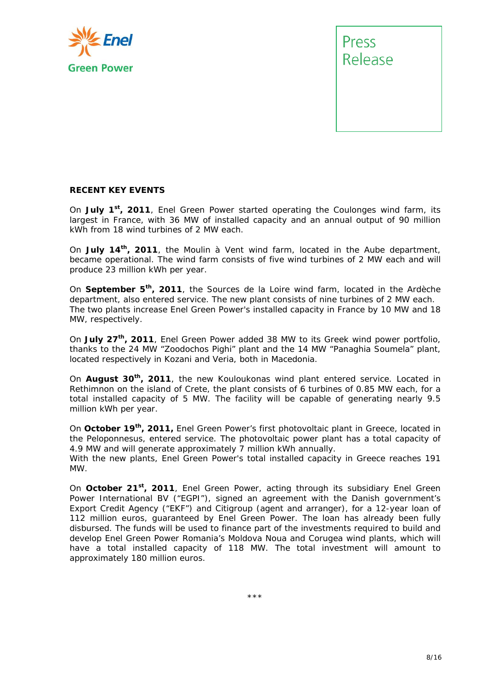



#### **RECENT KEY EVENTS**

On **July 1st, 2011**, Enel Green Power started operating the Coulonges wind farm, its largest in France, with 36 MW of installed capacity and an annual output of 90 million kWh from 18 wind turbines of 2 MW each.

On **July 14th, 2011**, the Moulin à Vent wind farm, located in the Aube department, became operational. The wind farm consists of five wind turbines of 2 MW each and will produce 23 million kWh per year.

On **September 5th, 2011**, the Sources de la Loire wind farm, located in the Ardèche department, also entered service. The new plant consists of nine turbines of 2 MW each. The two plants increase Enel Green Power's installed capacity in France by 10 MW and 18 MW, respectively.

On **July 27th, 2011**, Enel Green Power added 38 MW to its Greek wind power portfolio, thanks to the 24 MW "Zoodochos Pighi" plant and the 14 MW "Panaghia Soumela" plant, located respectively in Kozani and Veria, both in Macedonia.

On **August 30th, 2011**, the new Kouloukonas wind plant entered service. Located in Rethimnon on the island of Crete, the plant consists of 6 turbines of 0.85 MW each, for a total installed capacity of 5 MW. The facility will be capable of generating nearly 9.5 million kWh per year.

On **October 19th, 2011,** Enel Green Power's first photovoltaic plant in Greece, located in the Peloponnesus, entered service. The photovoltaic power plant has a total capacity of 4.9 MW and will generate approximately 7 million kWh annually.

With the new plants, Enel Green Power's total installed capacity in Greece reaches 191 MW.

On **October 21<sup>st</sup>, 2011**, Enel Green Power, acting through its subsidiary Enel Green Power International BV ("EGPI"), signed an agreement with the Danish government's Export Credit Agency ("EKF") and Citigroup (agent and arranger), for a 12-year loan of 112 million euros, guaranteed by Enel Green Power. The loan has already been fully disbursed. The funds will be used to finance part of the investments required to build and develop Enel Green Power Romania's Moldova Noua and Corugea wind plants, which will have a total installed capacity of 118 MW. The total investment will amount to approximately 180 million euros.

\*\*\*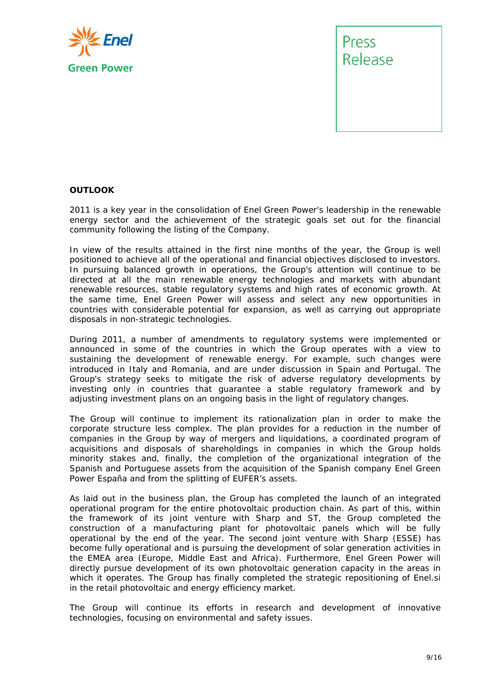



#### **OUTLOOK**

2011 is a key year in the consolidation of Enel Green Power's leadership in the renewable energy sector and the achievement of the strategic goals set out for the financial community following the listing of the Company.

In view of the results attained in the first nine months of the year, the Group is well positioned to achieve all of the operational and financial objectives disclosed to investors. In pursuing balanced growth in operations, the Group's attention will continue to be directed at all the main renewable energy technologies and markets with abundant renewable resources, stable regulatory systems and high rates of economic growth. At the same time, Enel Green Power will assess and select any new opportunities in countries with considerable potential for expansion, as well as carrying out appropriate disposals in non-strategic technologies.

During 2011, a number of amendments to regulatory systems were implemented or announced in some of the countries in which the Group operates with a view to sustaining the development of renewable energy. For example, such changes were introduced in Italy and Romania, and are under discussion in Spain and Portugal. The Group's strategy seeks to mitigate the risk of adverse regulatory developments by investing only in countries that guarantee a stable regulatory framework and by adjusting investment plans on an ongoing basis in the light of regulatory changes.

The Group will continue to implement its rationalization plan in order to make the corporate structure less complex. The plan provides for a reduction in the number of companies in the Group by way of mergers and liquidations, a coordinated program of acquisitions and disposals of shareholdings in companies in which the Group holds minority stakes and, finally, the completion of the organizational integration of the Spanish and Portuguese assets from the acquisition of the Spanish company Enel Green Power España and from the splitting of EUFER's assets.

As laid out in the business plan, the Group has completed the launch of an integrated operational program for the entire photovoltaic production chain. As part of this, within the framework of its joint venture with Sharp and ST, the Group completed the construction of a manufacturing plant for photovoltaic panels which will be fully operational by the end of the year. The second joint venture with Sharp (ESSE) has become fully operational and is pursuing the development of solar generation activities in the EMEA area (Europe, Middle East and Africa). Furthermore, Enel Green Power will directly pursue development of its own photovoltaic generation capacity in the areas in which it operates. The Group has finally completed the strategic repositioning of Enel.si in the retail photovoltaic and energy efficiency market.

The Group will continue its efforts in research and development of innovative technologies, focusing on environmental and safety issues.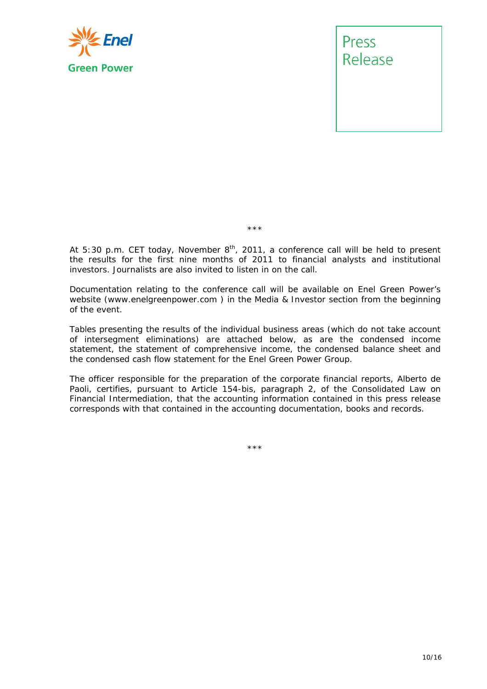

Press Release

\*\*\*

*At 5:30 p.m. CET today, November 8th, 2011, a conference call will be held to present the results for the first nine months of 2011 to financial analysts and institutional investors. Journalists are also invited to listen in on the call.* 

*Documentation relating to the conference call will be available on Enel Green Power's website (www.enelgreenpower.com ) in the Media & Investor section from the beginning of the event.* 

*Tables presenting the results of the individual business areas (which do not take account of intersegment eliminations) are attached below, as are the condensed income statement, the statement of comprehensive income, the condensed balance sheet and the condensed cash flow statement for the Enel Green Power Group.* 

*The officer responsible for the preparation of the corporate financial reports, Alberto de*  Paoli, certifies, pursuant to Article 154-bis, paragraph 2, of the Consolidated Law on *Financial Intermediation, that the accounting information contained in this press release corresponds with that contained in the accounting documentation, books and records.* 

\*\*\*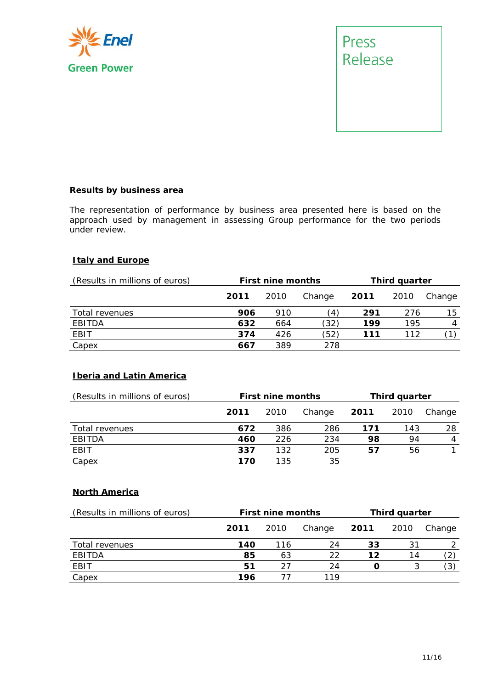



#### **Results by business area**

The representation of performance by business area presented here is based on the approach used by management in assessing Group performance for the two periods under review.

#### **Italy and Europe**

| (Results in millions of euros) |      | <b>First nine months</b> |               |      | Third quarter |        |
|--------------------------------|------|--------------------------|---------------|------|---------------|--------|
|                                | 2011 | 2010                     | Change        | 2011 | 2010          | Change |
| Total revenues                 | 906  | 910                      | $\frac{1}{4}$ | 291  | 276           | 15     |
| EBITDA                         | 632  | 664                      | (32)          | 199  | 195           | 4      |
| <b>EBIT</b>                    | 374  | 426                      | (52)          | 111  | 112           |        |
| Capex                          | 667  | 389                      | 278           |      |               |        |

#### **Iberia and Latin America**

| (Results in millions of euros) |      | <b>First nine months</b> | Third quarter |      |      |        |
|--------------------------------|------|--------------------------|---------------|------|------|--------|
|                                | 2011 | 2010                     | Change        | 2011 | 2010 | Change |
| Total revenues                 | 672  | 386                      | 286           | 171  | 143  | 28     |
| EBITDA                         | 460  | 226                      | 234           | 98   | 94   | 4      |
| EBIT                           | 337  | 132                      | 205           | 57   | 56   |        |
| Capex                          | 170  | 135                      | 35            |      |      |        |

#### **North America**

| (Results in millions of euros) | <b>First nine months</b> |      |        | Third quarter |      |        |
|--------------------------------|--------------------------|------|--------|---------------|------|--------|
|                                | 2011                     | 2010 | Change | 2011          | 2010 | Change |
| Total revenues                 | 140                      | 116  | 24     | 33            | 31   |        |
| <b>EBITDA</b>                  | 85                       | 63   | 22     | 12            | 14   |        |
| EBIT                           | 51                       |      | 24     |               |      | 3      |
| Capex                          | 196                      |      | 119    |               |      |        |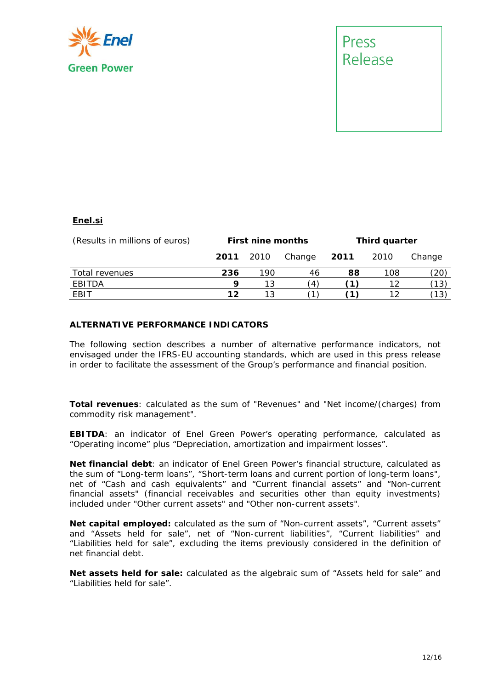



#### **Enel.si**

| (Results in millions of euros) | <b>First nine months</b> |     |                | Third quarter |        |        |
|--------------------------------|--------------------------|-----|----------------|---------------|--------|--------|
|                                | <b>2011</b> 2010         |     | Change         | 2011          | - 2010 | Change |
| Total revenues                 | 236                      | 190 | 46             | 88            | 108    | (20)   |
| EBITDA                         | q                        | 13  | $\overline{4}$ |               | 12     | (13)   |
| EBIT                           | 12                       |     |                |               |        | (13)   |

#### **ALTERNATIVE PERFORMANCE INDICATORS**

The following section describes a number of alternative performance indicators, not envisaged under the IFRS-EU accounting standards, which are used in this press release in order to facilitate the assessment of the Group's performance and financial position.

**Total revenues**: calculated as the sum of "Revenues" and "Net income/(charges) from commodity risk management".

**EBITDA**: an indicator of Enel Green Power's operating performance, calculated as "Operating income" plus "Depreciation, amortization and impairment losses".

**Net financial debt**: an indicator of Enel Green Power's financial structure, calculated as the sum of "Long-term loans", "Short-term loans and current portion of long-term loans", net of "Cash and cash equivalents" and "Current financial assets" and "Non-current financial assets" (financial receivables and securities other than equity investments) included under "Other current assets" and "Other non-current assets".

**Net capital employed:** calculated as the sum of "Non-current assets", "Current assets" and "Assets held for sale", net of "Non-current liabilities", "Current liabilities" and "Liabilities held for sale", excluding the items previously considered in the definition of net financial debt.

**Net assets held for sale:** calculated as the algebraic sum of "Assets held for sale" and "Liabilities held for sale".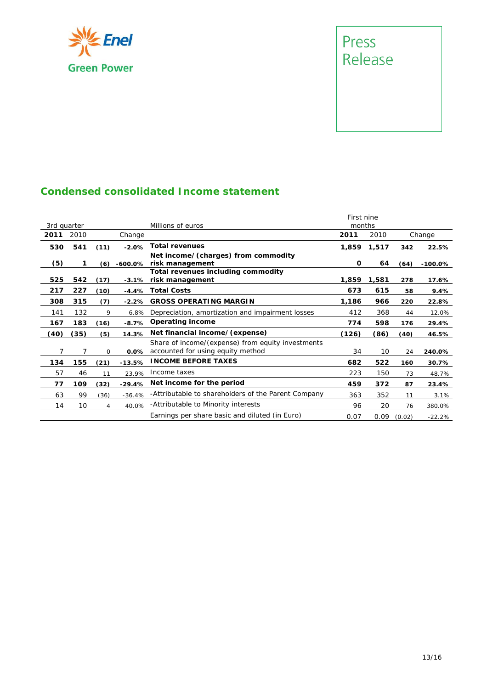

### Press<br>Release

#### **Condensed consolidated Income statement**

|             |      |             |            |                                                                                        | First nine |       |        |           |
|-------------|------|-------------|------------|----------------------------------------------------------------------------------------|------------|-------|--------|-----------|
| 3rd quarter |      |             |            | Millions of euros                                                                      | months     |       |        |           |
| 2011        | 2010 |             | Change     |                                                                                        | 2011       | 2010  |        | Change    |
| 530         | 541  | (11)        | $-2.0%$    | <b>Total revenues</b>                                                                  | 1,859      | 1,517 | 342    | 22.5%     |
| (5)         | 1    | (6)         | $-600.0\%$ | Net income/(charges) from <i>commodity</i><br>risk management                          | 0          | 64    | (64)   | $-100.0%$ |
| 525         | 542  | (17)        | $-3.1%$    | Total revenues including commodity<br>risk management                                  | 1,859      | 1,581 | 278    | 17.6%     |
| 217         | 227  | (10)        | $-4.4%$    | <b>Total Costs</b>                                                                     | 673        | 615   | 58     | 9.4%      |
| 308         | 315  | (7)         | $-2.2%$    | <b>GROSS OPERATING MARGIN</b>                                                          | 1,186      | 966   | 220    | 22.8%     |
| 141         | 132  | 9           | 6.8%       | Depreciation, amortization and impairment losses                                       | 412        | 368   | 44     | 12.0%     |
| 167         | 183  | (16)        | $-8.7%$    | <b>Operating income</b>                                                                | 774        | 598   | 176    | 29.4%     |
| (40)        | (35) | (5)         | 14.3%      | Net financial income/(expense)                                                         | (126)      | (86)  | (40)   | 46.5%     |
| 7           | 7    | $\mathbf 0$ | 0.0%       | Share of income/(expense) from equity investments<br>accounted for using equity method | 34         | 10    | 24     | 240.0%    |
| 134         | 155  | (21)        | $-13.5%$   | <b>INCOME BEFORE TAXES</b>                                                             | 682        | 522   | 160    | 30.7%     |
| 57          | 46   | 11          | 23.9%      | Income taxes                                                                           | 223        | 150   | 73     | 48.7%     |
| 77          | 109  | (32)        | $-29.4%$   | Net income for the period                                                              | 459        | 372   | 87     | 23.4%     |
| 63          | 99   | (36)        | $-36.4%$   | -Attributable to shareholders of the Parent Company                                    | 363        | 352   | 11     | 3.1%      |
| 14          | 10   | 4           | 40.0%      | -Attributable to Minority interests                                                    | 96         | 20    | 76     | 380.0%    |
|             |      |             |            | Earnings per share basic and diluted (in Euro)                                         | 0.07       | 0.09  | (0.02) | $-22.2%$  |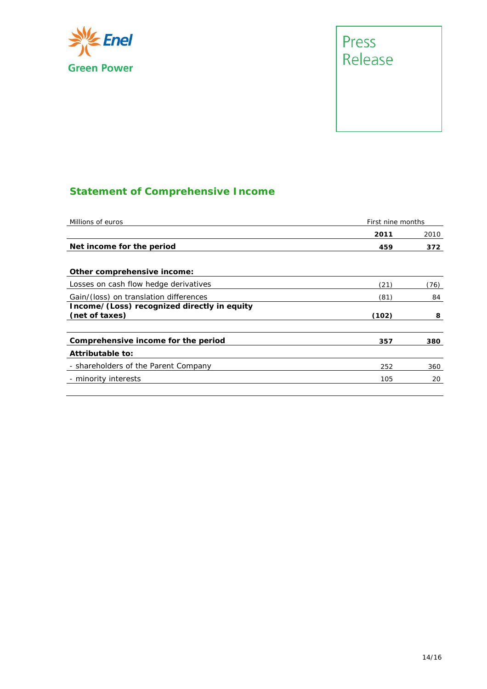

# Press<br>Release

#### **Statement of Comprehensive Income**

| Millions of euros                                             |       | First nine months |  |  |
|---------------------------------------------------------------|-------|-------------------|--|--|
|                                                               | 2011  | 2010              |  |  |
| Net income for the period                                     | 459   | 372               |  |  |
| Other comprehensive income:                                   |       |                   |  |  |
| Losses on cash flow hedge derivatives                         | (21)  | (76)              |  |  |
| Gain/(loss) on translation differences                        | (81)  | 84                |  |  |
| Income/(Loss) recognized directly in equity<br>(net of taxes) | (102) | 8                 |  |  |
| Comprehensive income for the period                           | 357   | 380               |  |  |
| Attributable to:                                              |       |                   |  |  |
| - shareholders of the Parent Company                          | 252   | 360               |  |  |
| - minority interests                                          | 105   | 20                |  |  |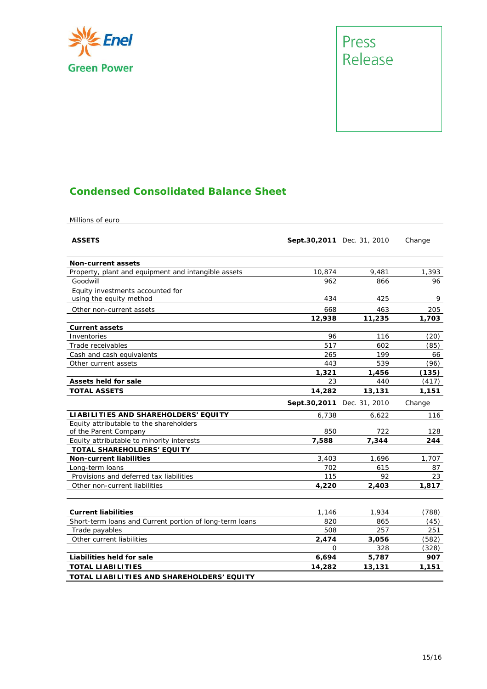



#### **Condensed Consolidated Balance Sheet**

Millions of euro

| <b>ASSETS</b>                                           | Sept.30,2011 Dec. 31, 2010 |        | Change |
|---------------------------------------------------------|----------------------------|--------|--------|
| <b>Non-current assets</b>                               |                            |        |        |
| Property, plant and equipment and intangible assets     | 10,874                     | 9,481  | 1,393  |
| Goodwill                                                | 962                        | 866    | 96     |
| Equity investments accounted for                        |                            |        |        |
| using the equity method                                 | 434                        | 425    | 9      |
| Other non-current assets                                | 668                        | 463    | 205    |
|                                                         | 12,938                     | 11,235 | 1,703  |
| <b>Current assets</b>                                   |                            |        |        |
| Inventories                                             | 96                         | 116    | (20)   |
| Trade receivables                                       | 517                        | 602    | (85)   |
| Cash and cash equivalents                               | 265                        | 199    | 66     |
| Other current assets                                    | 443                        | 539    | (96)   |
|                                                         | 1,321                      | 1,456  | (135)  |
| Assets held for sale                                    | 23                         | 440    | (417)  |
| <b>TOTAL ASSETS</b>                                     | 14,282                     | 13,131 | 1,151  |
|                                                         | Sept.30,2011 Dec. 31, 2010 |        | Change |
| <b>LIABILITIES AND SHAREHOLDERS' EQUITY</b>             | 6,738                      | 6,622  | 116    |
| Equity attributable to the shareholders                 |                            |        |        |
| of the Parent Company                                   | 850                        | 722    | 128    |
| Equity attributable to minority interests               | 7,588                      | 7,344  | 244    |
| TOTAL SHAREHOLDERS' EQUITY                              |                            |        |        |
| <b>Non-current liabilities</b>                          | 3,403                      | 1,696  | 1,707  |
| Long-term loans                                         | 702                        | 615    | 87     |
| Provisions and deferred tax liabilities                 | 115                        | 92     | 23     |
| Other non-current liabilities                           | 4,220                      | 2,403  | 1,817  |
| <b>Current liabilities</b>                              | 1,146                      | 1,934  | (788)  |
| Short-term loans and Current portion of long-term loans | 820                        | 865    | (45)   |
| Trade payables                                          | 508                        | 257    | 251    |
| Other current liabilities                               | 2,474                      | 3,056  | (582)  |
|                                                         | $\Omega$                   | 328    | (328)  |
| Liabilities held for sale                               | 6,694                      | 5,787  | 907    |
| <b>TOTAL LIABILITIES</b>                                | 14,282                     | 13,131 | 1,151  |
| TOTAL LIABILITIES AND SHAREHOLDERS' EQUITY              |                            |        |        |